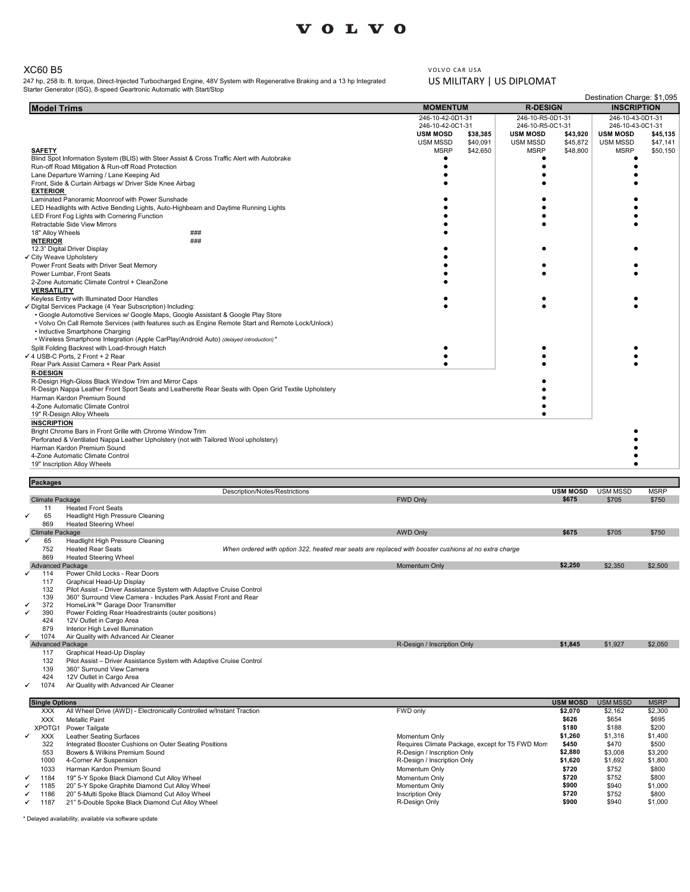## XC60 B5

| <b>VOLVO</b><br>XC60 B5<br>VOLVO CAR USA<br>US MILITARY   US DIPLOMAT<br>247 hp, 258 lb. ft. torque, Direct-Injected Turbocharged Engine, 48V System with Regenerative Braking and a 13 hp Integrated<br>Starter Generator (ISG), 8-speed Geartronic Automatic with Start/Stop<br><b>Model Trims</b><br><b>MOMENTUM</b><br><b>R-DESIGN</b><br><b>INSCRIPTION</b><br>246-10-42-0D1-31<br>246-10-R5-0D1-31<br>246-10-43-0D1-31<br>246-10-42-0C1-31<br>246-10-43-0C1-31<br>246-10-R5-0C1-31<br><b>USM MOSD</b><br><b>USM MOSD</b><br>\$38,385<br><b>USM MOSD</b><br>\$43,920<br><b>USM MSSD</b><br>\$40,091<br><b>USM MSSD</b><br>\$45,872<br>USM MSSD<br><b>MSRP</b><br><b>MSRP</b><br>\$42,650<br><b>MSRP</b><br>\$48,800<br><b>SAFETY</b><br>Blind Spot Information System (BLIS) with Steer Assist & Cross Traffic Alert with Autobrake<br>$\bullet$<br>Run-off Road Mitigation & Run-off Road Protection<br>$\bullet$<br>Lane Departure Warning / Lane Keeping Aid<br>Front, Side & Curtain Airbags w/ Driver Side Knee Airbag<br><b>EXTERIOR</b><br>Laminated Panoramic Moonroof with Power Sunshade<br>LED Headlights with Active Bending Lights, Auto-Highbeam and Daytime Running Lights<br>LED Front Fog Lights with Cornering Function<br>Retractable Side View Mirrors<br>18" Alloy Wheels<br>###<br><b>INTERIOR</b><br>###<br>12.3" Digital Driver Display<br>✔ City Weave Upholstery<br>Power Front Seats with Driver Seat Memory<br>Power Lumbar, Front Seats<br>2-Zone Automatic Climate Control + CleanZone<br><b>VERSATILITY</b><br>Keyless Entry with Illuminated Door Handles<br>Digital Services Package (4 Year Subscription) Including:<br>• Google Automotive Services w/ Google Maps, Google Assistant & Google Play Store<br>• Volvo On Call Remote Services (with features such as Engine Remote Start and Remote Lock/Unlock)<br>• Inductive Smartphone Charging<br>• Wireless Smartphone Integration (Apple CarPlay/Android Auto) (delayed introduction)*<br>Split Folding Backrest with Load-through Hatch<br>4 USB-C Ports, 2 Front + 2 Rear<br>Rear Park Assist Camera + Rear Park Assist<br><b>R-DESIGN</b><br>R-Design High-Gloss Black Window Trim and Mirror Caps<br>R-Design Nappa Leather Front Sport Seats and Leatherette Rear Seats with Open Grid Textile Upholstery<br>Harman Kardon Premium Sound<br>4-Zone Automatic Climate Control<br>19" R-Design Alloy Wheels<br><b>INSCRIPTION</b><br>Bright Chrome Bars in Front Grille with Chrome Window Trim<br>Perforated & Ventilated Nappa Leather Upholstery (not with Tailored Wool upholstery)<br>Harman Kardon Premium Sound<br>4-Zone Automatic Climate Control<br>19" Inscription Alloy Wheels |                 |  |  |
|--------------------------------------------------------------------------------------------------------------------------------------------------------------------------------------------------------------------------------------------------------------------------------------------------------------------------------------------------------------------------------------------------------------------------------------------------------------------------------------------------------------------------------------------------------------------------------------------------------------------------------------------------------------------------------------------------------------------------------------------------------------------------------------------------------------------------------------------------------------------------------------------------------------------------------------------------------------------------------------------------------------------------------------------------------------------------------------------------------------------------------------------------------------------------------------------------------------------------------------------------------------------------------------------------------------------------------------------------------------------------------------------------------------------------------------------------------------------------------------------------------------------------------------------------------------------------------------------------------------------------------------------------------------------------------------------------------------------------------------------------------------------------------------------------------------------------------------------------------------------------------------------------------------------------------------------------------------------------------------------------------------------------------------------------------------------------------------------------------------------------------------------------------------------------------------------------------------------------------------------------------------------------------------------------------------------------------------------------------------------------------------------------------------------------------------------------------------------------------------------------------------------------------------------------------------------------------------------------------------------------------------------------------------------------------------------|-----------------|--|--|
|                                                                                                                                                                                                                                                                                                                                                                                                                                                                                                                                                                                                                                                                                                                                                                                                                                                                                                                                                                                                                                                                                                                                                                                                                                                                                                                                                                                                                                                                                                                                                                                                                                                                                                                                                                                                                                                                                                                                                                                                                                                                                                                                                                                                                                                                                                                                                                                                                                                                                                                                                                                                                                                                                            |                 |  |  |
|                                                                                                                                                                                                                                                                                                                                                                                                                                                                                                                                                                                                                                                                                                                                                                                                                                                                                                                                                                                                                                                                                                                                                                                                                                                                                                                                                                                                                                                                                                                                                                                                                                                                                                                                                                                                                                                                                                                                                                                                                                                                                                                                                                                                                                                                                                                                                                                                                                                                                                                                                                                                                                                                                            |                 |  |  |
| \$45,135<br>\$47,141<br>\$50,150                                                                                                                                                                                                                                                                                                                                                                                                                                                                                                                                                                                                                                                                                                                                                                                                                                                                                                                                                                                                                                                                                                                                                                                                                                                                                                                                                                                                                                                                                                                                                                                                                                                                                                                                                                                                                                                                                                                                                                                                                                                                                                                                                                                                                                                                                                                                                                                                                                                                                                                                                                                                                                                           |                 |  |  |
| Destination Charge: \$1,095                                                                                                                                                                                                                                                                                                                                                                                                                                                                                                                                                                                                                                                                                                                                                                                                                                                                                                                                                                                                                                                                                                                                                                                                                                                                                                                                                                                                                                                                                                                                                                                                                                                                                                                                                                                                                                                                                                                                                                                                                                                                                                                                                                                                                                                                                                                                                                                                                                                                                                                                                                                                                                                                |                 |  |  |
|                                                                                                                                                                                                                                                                                                                                                                                                                                                                                                                                                                                                                                                                                                                                                                                                                                                                                                                                                                                                                                                                                                                                                                                                                                                                                                                                                                                                                                                                                                                                                                                                                                                                                                                                                                                                                                                                                                                                                                                                                                                                                                                                                                                                                                                                                                                                                                                                                                                                                                                                                                                                                                                                                            |                 |  |  |
|                                                                                                                                                                                                                                                                                                                                                                                                                                                                                                                                                                                                                                                                                                                                                                                                                                                                                                                                                                                                                                                                                                                                                                                                                                                                                                                                                                                                                                                                                                                                                                                                                                                                                                                                                                                                                                                                                                                                                                                                                                                                                                                                                                                                                                                                                                                                                                                                                                                                                                                                                                                                                                                                                            |                 |  |  |
|                                                                                                                                                                                                                                                                                                                                                                                                                                                                                                                                                                                                                                                                                                                                                                                                                                                                                                                                                                                                                                                                                                                                                                                                                                                                                                                                                                                                                                                                                                                                                                                                                                                                                                                                                                                                                                                                                                                                                                                                                                                                                                                                                                                                                                                                                                                                                                                                                                                                                                                                                                                                                                                                                            |                 |  |  |
|                                                                                                                                                                                                                                                                                                                                                                                                                                                                                                                                                                                                                                                                                                                                                                                                                                                                                                                                                                                                                                                                                                                                                                                                                                                                                                                                                                                                                                                                                                                                                                                                                                                                                                                                                                                                                                                                                                                                                                                                                                                                                                                                                                                                                                                                                                                                                                                                                                                                                                                                                                                                                                                                                            |                 |  |  |
|                                                                                                                                                                                                                                                                                                                                                                                                                                                                                                                                                                                                                                                                                                                                                                                                                                                                                                                                                                                                                                                                                                                                                                                                                                                                                                                                                                                                                                                                                                                                                                                                                                                                                                                                                                                                                                                                                                                                                                                                                                                                                                                                                                                                                                                                                                                                                                                                                                                                                                                                                                                                                                                                                            |                 |  |  |
|                                                                                                                                                                                                                                                                                                                                                                                                                                                                                                                                                                                                                                                                                                                                                                                                                                                                                                                                                                                                                                                                                                                                                                                                                                                                                                                                                                                                                                                                                                                                                                                                                                                                                                                                                                                                                                                                                                                                                                                                                                                                                                                                                                                                                                                                                                                                                                                                                                                                                                                                                                                                                                                                                            |                 |  |  |
|                                                                                                                                                                                                                                                                                                                                                                                                                                                                                                                                                                                                                                                                                                                                                                                                                                                                                                                                                                                                                                                                                                                                                                                                                                                                                                                                                                                                                                                                                                                                                                                                                                                                                                                                                                                                                                                                                                                                                                                                                                                                                                                                                                                                                                                                                                                                                                                                                                                                                                                                                                                                                                                                                            |                 |  |  |
|                                                                                                                                                                                                                                                                                                                                                                                                                                                                                                                                                                                                                                                                                                                                                                                                                                                                                                                                                                                                                                                                                                                                                                                                                                                                                                                                                                                                                                                                                                                                                                                                                                                                                                                                                                                                                                                                                                                                                                                                                                                                                                                                                                                                                                                                                                                                                                                                                                                                                                                                                                                                                                                                                            |                 |  |  |
|                                                                                                                                                                                                                                                                                                                                                                                                                                                                                                                                                                                                                                                                                                                                                                                                                                                                                                                                                                                                                                                                                                                                                                                                                                                                                                                                                                                                                                                                                                                                                                                                                                                                                                                                                                                                                                                                                                                                                                                                                                                                                                                                                                                                                                                                                                                                                                                                                                                                                                                                                                                                                                                                                            |                 |  |  |
|                                                                                                                                                                                                                                                                                                                                                                                                                                                                                                                                                                                                                                                                                                                                                                                                                                                                                                                                                                                                                                                                                                                                                                                                                                                                                                                                                                                                                                                                                                                                                                                                                                                                                                                                                                                                                                                                                                                                                                                                                                                                                                                                                                                                                                                                                                                                                                                                                                                                                                                                                                                                                                                                                            |                 |  |  |
|                                                                                                                                                                                                                                                                                                                                                                                                                                                                                                                                                                                                                                                                                                                                                                                                                                                                                                                                                                                                                                                                                                                                                                                                                                                                                                                                                                                                                                                                                                                                                                                                                                                                                                                                                                                                                                                                                                                                                                                                                                                                                                                                                                                                                                                                                                                                                                                                                                                                                                                                                                                                                                                                                            |                 |  |  |
|                                                                                                                                                                                                                                                                                                                                                                                                                                                                                                                                                                                                                                                                                                                                                                                                                                                                                                                                                                                                                                                                                                                                                                                                                                                                                                                                                                                                                                                                                                                                                                                                                                                                                                                                                                                                                                                                                                                                                                                                                                                                                                                                                                                                                                                                                                                                                                                                                                                                                                                                                                                                                                                                                            |                 |  |  |
|                                                                                                                                                                                                                                                                                                                                                                                                                                                                                                                                                                                                                                                                                                                                                                                                                                                                                                                                                                                                                                                                                                                                                                                                                                                                                                                                                                                                                                                                                                                                                                                                                                                                                                                                                                                                                                                                                                                                                                                                                                                                                                                                                                                                                                                                                                                                                                                                                                                                                                                                                                                                                                                                                            |                 |  |  |
|                                                                                                                                                                                                                                                                                                                                                                                                                                                                                                                                                                                                                                                                                                                                                                                                                                                                                                                                                                                                                                                                                                                                                                                                                                                                                                                                                                                                                                                                                                                                                                                                                                                                                                                                                                                                                                                                                                                                                                                                                                                                                                                                                                                                                                                                                                                                                                                                                                                                                                                                                                                                                                                                                            |                 |  |  |
|                                                                                                                                                                                                                                                                                                                                                                                                                                                                                                                                                                                                                                                                                                                                                                                                                                                                                                                                                                                                                                                                                                                                                                                                                                                                                                                                                                                                                                                                                                                                                                                                                                                                                                                                                                                                                                                                                                                                                                                                                                                                                                                                                                                                                                                                                                                                                                                                                                                                                                                                                                                                                                                                                            |                 |  |  |
|                                                                                                                                                                                                                                                                                                                                                                                                                                                                                                                                                                                                                                                                                                                                                                                                                                                                                                                                                                                                                                                                                                                                                                                                                                                                                                                                                                                                                                                                                                                                                                                                                                                                                                                                                                                                                                                                                                                                                                                                                                                                                                                                                                                                                                                                                                                                                                                                                                                                                                                                                                                                                                                                                            |                 |  |  |
|                                                                                                                                                                                                                                                                                                                                                                                                                                                                                                                                                                                                                                                                                                                                                                                                                                                                                                                                                                                                                                                                                                                                                                                                                                                                                                                                                                                                                                                                                                                                                                                                                                                                                                                                                                                                                                                                                                                                                                                                                                                                                                                                                                                                                                                                                                                                                                                                                                                                                                                                                                                                                                                                                            |                 |  |  |
|                                                                                                                                                                                                                                                                                                                                                                                                                                                                                                                                                                                                                                                                                                                                                                                                                                                                                                                                                                                                                                                                                                                                                                                                                                                                                                                                                                                                                                                                                                                                                                                                                                                                                                                                                                                                                                                                                                                                                                                                                                                                                                                                                                                                                                                                                                                                                                                                                                                                                                                                                                                                                                                                                            |                 |  |  |
|                                                                                                                                                                                                                                                                                                                                                                                                                                                                                                                                                                                                                                                                                                                                                                                                                                                                                                                                                                                                                                                                                                                                                                                                                                                                                                                                                                                                                                                                                                                                                                                                                                                                                                                                                                                                                                                                                                                                                                                                                                                                                                                                                                                                                                                                                                                                                                                                                                                                                                                                                                                                                                                                                            |                 |  |  |
|                                                                                                                                                                                                                                                                                                                                                                                                                                                                                                                                                                                                                                                                                                                                                                                                                                                                                                                                                                                                                                                                                                                                                                                                                                                                                                                                                                                                                                                                                                                                                                                                                                                                                                                                                                                                                                                                                                                                                                                                                                                                                                                                                                                                                                                                                                                                                                                                                                                                                                                                                                                                                                                                                            |                 |  |  |
|                                                                                                                                                                                                                                                                                                                                                                                                                                                                                                                                                                                                                                                                                                                                                                                                                                                                                                                                                                                                                                                                                                                                                                                                                                                                                                                                                                                                                                                                                                                                                                                                                                                                                                                                                                                                                                                                                                                                                                                                                                                                                                                                                                                                                                                                                                                                                                                                                                                                                                                                                                                                                                                                                            |                 |  |  |
|                                                                                                                                                                                                                                                                                                                                                                                                                                                                                                                                                                                                                                                                                                                                                                                                                                                                                                                                                                                                                                                                                                                                                                                                                                                                                                                                                                                                                                                                                                                                                                                                                                                                                                                                                                                                                                                                                                                                                                                                                                                                                                                                                                                                                                                                                                                                                                                                                                                                                                                                                                                                                                                                                            |                 |  |  |
|                                                                                                                                                                                                                                                                                                                                                                                                                                                                                                                                                                                                                                                                                                                                                                                                                                                                                                                                                                                                                                                                                                                                                                                                                                                                                                                                                                                                                                                                                                                                                                                                                                                                                                                                                                                                                                                                                                                                                                                                                                                                                                                                                                                                                                                                                                                                                                                                                                                                                                                                                                                                                                                                                            |                 |  |  |
|                                                                                                                                                                                                                                                                                                                                                                                                                                                                                                                                                                                                                                                                                                                                                                                                                                                                                                                                                                                                                                                                                                                                                                                                                                                                                                                                                                                                                                                                                                                                                                                                                                                                                                                                                                                                                                                                                                                                                                                                                                                                                                                                                                                                                                                                                                                                                                                                                                                                                                                                                                                                                                                                                            |                 |  |  |
|                                                                                                                                                                                                                                                                                                                                                                                                                                                                                                                                                                                                                                                                                                                                                                                                                                                                                                                                                                                                                                                                                                                                                                                                                                                                                                                                                                                                                                                                                                                                                                                                                                                                                                                                                                                                                                                                                                                                                                                                                                                                                                                                                                                                                                                                                                                                                                                                                                                                                                                                                                                                                                                                                            |                 |  |  |
|                                                                                                                                                                                                                                                                                                                                                                                                                                                                                                                                                                                                                                                                                                                                                                                                                                                                                                                                                                                                                                                                                                                                                                                                                                                                                                                                                                                                                                                                                                                                                                                                                                                                                                                                                                                                                                                                                                                                                                                                                                                                                                                                                                                                                                                                                                                                                                                                                                                                                                                                                                                                                                                                                            |                 |  |  |
|                                                                                                                                                                                                                                                                                                                                                                                                                                                                                                                                                                                                                                                                                                                                                                                                                                                                                                                                                                                                                                                                                                                                                                                                                                                                                                                                                                                                                                                                                                                                                                                                                                                                                                                                                                                                                                                                                                                                                                                                                                                                                                                                                                                                                                                                                                                                                                                                                                                                                                                                                                                                                                                                                            |                 |  |  |
|                                                                                                                                                                                                                                                                                                                                                                                                                                                                                                                                                                                                                                                                                                                                                                                                                                                                                                                                                                                                                                                                                                                                                                                                                                                                                                                                                                                                                                                                                                                                                                                                                                                                                                                                                                                                                                                                                                                                                                                                                                                                                                                                                                                                                                                                                                                                                                                                                                                                                                                                                                                                                                                                                            |                 |  |  |
|                                                                                                                                                                                                                                                                                                                                                                                                                                                                                                                                                                                                                                                                                                                                                                                                                                                                                                                                                                                                                                                                                                                                                                                                                                                                                                                                                                                                                                                                                                                                                                                                                                                                                                                                                                                                                                                                                                                                                                                                                                                                                                                                                                                                                                                                                                                                                                                                                                                                                                                                                                                                                                                                                            |                 |  |  |
|                                                                                                                                                                                                                                                                                                                                                                                                                                                                                                                                                                                                                                                                                                                                                                                                                                                                                                                                                                                                                                                                                                                                                                                                                                                                                                                                                                                                                                                                                                                                                                                                                                                                                                                                                                                                                                                                                                                                                                                                                                                                                                                                                                                                                                                                                                                                                                                                                                                                                                                                                                                                                                                                                            |                 |  |  |
|                                                                                                                                                                                                                                                                                                                                                                                                                                                                                                                                                                                                                                                                                                                                                                                                                                                                                                                                                                                                                                                                                                                                                                                                                                                                                                                                                                                                                                                                                                                                                                                                                                                                                                                                                                                                                                                                                                                                                                                                                                                                                                                                                                                                                                                                                                                                                                                                                                                                                                                                                                                                                                                                                            |                 |  |  |
|                                                                                                                                                                                                                                                                                                                                                                                                                                                                                                                                                                                                                                                                                                                                                                                                                                                                                                                                                                                                                                                                                                                                                                                                                                                                                                                                                                                                                                                                                                                                                                                                                                                                                                                                                                                                                                                                                                                                                                                                                                                                                                                                                                                                                                                                                                                                                                                                                                                                                                                                                                                                                                                                                            | <b>Packages</b> |  |  |

|   |                         |                                                                      | Description/Notes/Restrictions                                                                        | <b>USM MOSD</b> | <b>USM MSSD</b> | <b>MSRP</b> |
|---|-------------------------|----------------------------------------------------------------------|-------------------------------------------------------------------------------------------------------|-----------------|-----------------|-------------|
|   | Climate Package         |                                                                      | <b>FWD Only</b>                                                                                       | \$675           | \$705           | \$750       |
|   | 11                      | <b>Heated Front Seats</b>                                            |                                                                                                       |                 |                 |             |
| ✔ | 65                      | Headlight High Pressure Cleaning                                     |                                                                                                       |                 |                 |             |
|   | 869                     | <b>Heated Steering Wheel</b>                                         |                                                                                                       |                 |                 |             |
|   | Climate Package         |                                                                      | <b>AWD Only</b>                                                                                       | \$675           | \$705           | \$750       |
|   | 65                      | Headlight High Pressure Cleaning                                     |                                                                                                       |                 |                 |             |
|   | 752                     | <b>Heated Rear Seats</b>                                             | When ordered with option 322, heated rear seats are replaced with booster cushions at no extra charge |                 |                 |             |
|   | 869                     | <b>Heated Steering Wheel</b>                                         |                                                                                                       |                 |                 |             |
|   | <b>Advanced Package</b> |                                                                      | Momentum Only                                                                                         | \$2,250         | \$2,350         | \$2,500     |
|   | $\checkmark$ 114        | Power Child Locks - Rear Doors                                       |                                                                                                       |                 |                 |             |
|   | 117                     | Graphical Head-Up Display                                            |                                                                                                       |                 |                 |             |
|   | 132                     | Pilot Assist - Driver Assistance System with Adaptive Cruise Control |                                                                                                       |                 |                 |             |
|   | 139                     | 360° Surround View Camera - Includes Park Assist Front and Rear      |                                                                                                       |                 |                 |             |
| ✓ | 372                     | HomeLink™ Garage Door Transmitter                                    |                                                                                                       |                 |                 |             |
| ✔ | 390                     | Power Folding Rear Headrestraints (outer positions)                  |                                                                                                       |                 |                 |             |
|   | 424                     | 12V Outlet in Cargo Area                                             |                                                                                                       |                 |                 |             |
|   | 879                     | Interior High Level Illumination                                     |                                                                                                       |                 |                 |             |
| ✔ | 1074                    | Air Quality with Advanced Air Cleaner                                |                                                                                                       |                 |                 |             |
|   | <b>Advanced Package</b> |                                                                      | R-Design / Inscription Only                                                                           | \$1.845         | \$1,927         | \$2,050     |
|   | 117                     | Graphical Head-Up Display                                            |                                                                                                       |                 |                 |             |
|   | 132                     | Pilot Assist - Driver Assistance System with Adaptive Cruise Control |                                                                                                       |                 |                 |             |
|   | 139                     | 360° Surround View Camera                                            |                                                                                                       |                 |                 |             |
|   | 424                     | 12V Outlet in Cargo Area                                             |                                                                                                       |                 |                 |             |
| ✓ | 1074                    | Air Quality with Advanced Air Cleaner                                |                                                                                                       |                 |                 |             |
|   |                         |                                                                      |                                                                                                       |                 |                 |             |
|   | <b>Single Options</b>   |                                                                      |                                                                                                       | <b>USM MOSD</b> | <b>USM MSSD</b> | <b>MSRP</b> |
|   | <b>XXX</b>              | All Wheel Drive (AWD) - Electronically Controlled w/Instant Traction | FWD only                                                                                              | \$2,070         | \$2,162         | \$2,300     |
|   | <b>XXX</b>              | <b>Metallic Paint</b>                                                |                                                                                                       | \$626           | \$654           | \$695       |
|   | VDOTC1                  | <b>Dower Toilanto</b>                                                |                                                                                                       | \$180           | <b>C188</b>     | <b>S200</b> |

|              | XXX               | All Wheel Drive (AWD) - Electronically Controlled w/Instant Traction | FWD only                                        | \$2,070 | \$2.162 | \$2,300 |
|--------------|-------------------|----------------------------------------------------------------------|-------------------------------------------------|---------|---------|---------|
|              | <b>XXX</b>        | <b>Metallic Paint</b>                                                |                                                 | \$626   | \$654   | \$695   |
|              | XPOTG1            | Power Tailgate                                                       |                                                 | \$180   | \$188   | \$200   |
| $\checkmark$ | <b>XXX</b>        | Leather Seating Surfaces                                             | Momentum Only                                   | \$1.260 | \$1,316 | \$1,400 |
|              | 322               | Integrated Booster Cushions on Outer Seating Positions               | Requires Climate Package, except for T5 FWD Mom | \$450   | \$470   | \$500   |
|              | 553               | Bowers & Wilkins Premium Sound                                       | R-Design / Inscription Only                     | \$2.880 | \$3,008 | \$3,200 |
|              | 1000              | 4-Corner Air Suspension                                              | R-Design / Inscription Only                     | \$1,620 | \$1,692 | \$1,800 |
|              | 1033              | Harman Kardon Premium Sound                                          | Momentum Only                                   | \$720   | \$752   | \$800   |
|              | $\checkmark$ 1184 | 19" 5-Y Spoke Black Diamond Cut Alloy Wheel                          | Momentum Only                                   | \$720   | \$752   | \$800   |
|              | $\checkmark$ 1185 | 20" 5-Y Spoke Graphite Diamond Cut Alloy Wheel                       | Momentum Only                                   | \$900   | \$940   | \$1,000 |
|              | $\checkmark$ 1186 | 20" 5-Multi Spoke Black Diamond Cut Alloy Wheel                      | <b>Inscription Only</b>                         | \$720   | \$752   | \$800   |
|              | $\checkmark$ 1187 | 21" 5-Double Spoke Black Diamond Cut Alloy Wheel                     | R-Design Only                                   | \$900   | \$940   | \$1,000 |
|              |                   |                                                                      |                                                 |         |         |         |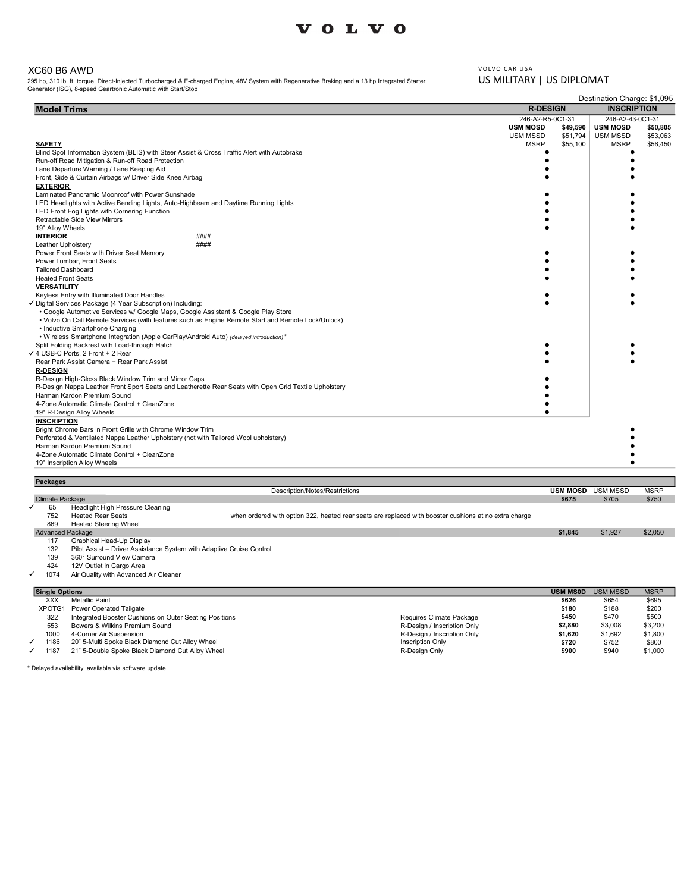### XC60 B6 AWD

| <b>VOLVO</b><br>VOLVO CAR USA<br>US MILITARY   US DIPLOMAT<br><b>R-DESIGN</b><br><b>INSCRIPTION</b><br><b>Model Trims</b><br>246-A2-43-0C1-31<br>246-A2-R5-0C1-31<br><b>USM MOSD</b><br>\$49,590<br><b>USM MOSD</b><br>USM MSSD<br>\$51,794<br>USM MSSD<br><b>MSRP</b><br>\$55,100<br><b>MSRP</b><br><b>SAFETY</b><br>Blind Spot Information System (BLIS) with Steer Assist & Cross Traffic Alert with Autobrake<br>٠<br>Run-off Road Mitigation & Run-off Road Protection<br>$\bullet$<br>٠<br>Lane Departure Warning / Lane Keeping Aid<br>Front, Side & Curtain Airbags w/ Driver Side Knee Airbag<br><b>EXTERIOR</b><br>Laminated Panoramic Moonroof with Power Sunshade<br>LED Headlights with Active Bending Lights, Auto-Highbeam and Daytime Running Lights<br>LED Front Fog Lights with Cornering Function<br>Retractable Side View Mirrors<br>19" Alloy Wheels<br><b>INTERIOR</b><br>####<br>####<br>Leather Upholstery<br>Power Front Seats with Driver Seat Memory<br>Power Lumbar, Front Seats<br><b>Tailored Dashboard</b><br><b>Heated Front Seats</b><br><b>VERSATILITY</b><br>Keyless Entry with Illuminated Door Handles<br>• Google Automotive Services w/ Google Maps, Google Assistant & Google Play Store<br>• Volvo On Call Remote Services (with features such as Engine Remote Start and Remote Lock/Unlock)<br>• Inductive Smartphone Charging<br>• Wireless Smartphone Integration (Apple CarPlay/Android Auto) (delayed introduction)*<br>Split Folding Backrest with Load-through Hatch<br>Rear Park Assist Camera + Rear Park Assist<br><b>R-DESIGN</b><br>R-Design High-Gloss Black Window Trim and Mirror Caps<br>R-Design Nappa Leather Front Sport Seats and Leatherette Rear Seats with Open Grid Textile Upholstery<br>Harman Kardon Premium Sound<br>4-Zone Automatic Climate Control + CleanZone<br>19" R-Design Alloy Wheels<br>$\bullet$<br><b>INSCRIPTION</b><br>Bright Chrome Bars in Front Grille with Chrome Window Trim<br>Perforated & Ventilated Nappa Leather Upholstery (not with Tailored Wool upholstery)<br>٠<br>Harman Kardon Premium Sound<br>٠<br>4-Zone Automatic Climate Control + CleanZone<br>٠<br>19" Inscription Alloy Wheels<br>$\bullet$ |  |  |
|----------------------------------------------------------------------------------------------------------------------------------------------------------------------------------------------------------------------------------------------------------------------------------------------------------------------------------------------------------------------------------------------------------------------------------------------------------------------------------------------------------------------------------------------------------------------------------------------------------------------------------------------------------------------------------------------------------------------------------------------------------------------------------------------------------------------------------------------------------------------------------------------------------------------------------------------------------------------------------------------------------------------------------------------------------------------------------------------------------------------------------------------------------------------------------------------------------------------------------------------------------------------------------------------------------------------------------------------------------------------------------------------------------------------------------------------------------------------------------------------------------------------------------------------------------------------------------------------------------------------------------------------------------------------------------------------------------------------------------------------------------------------------------------------------------------------------------------------------------------------------------------------------------------------------------------------------------------------------------------------------------------------------------------------------------------------------------------------------------------------------------------------------------------------------------------------------------|--|--|
| XC60 B6 AWD<br>295 hp, 310 lb. ft. torque, Direct-Injected Turbocharged & E-charged Engine, 48V System with Regenerative Braking and a 13 hp Integrated Starter<br>Generator (ISG), 8-speed Geartronic Automatic with Start/Stop<br>Destination Charge: \$1,095<br>\$50,805<br>\$53,063<br>\$56,450<br>✔ Digital Services Package (4 Year Subscription) Including:<br>4 USB-C Ports, 2 Front + 2 Rear                                                                                                                                                                                                                                                                                                                                                                                                                                                                                                                                                                                                                                                                                                                                                                                                                                                                                                                                                                                                                                                                                                                                                                                                                                                                                                                                                                                                                                                                                                                                                                                                                                                                                                                                                                                                    |  |  |
|                                                                                                                                                                                                                                                                                                                                                                                                                                                                                                                                                                                                                                                                                                                                                                                                                                                                                                                                                                                                                                                                                                                                                                                                                                                                                                                                                                                                                                                                                                                                                                                                                                                                                                                                                                                                                                                                                                                                                                                                                                                                                                                                                                                                          |  |  |
|                                                                                                                                                                                                                                                                                                                                                                                                                                                                                                                                                                                                                                                                                                                                                                                                                                                                                                                                                                                                                                                                                                                                                                                                                                                                                                                                                                                                                                                                                                                                                                                                                                                                                                                                                                                                                                                                                                                                                                                                                                                                                                                                                                                                          |  |  |
|                                                                                                                                                                                                                                                                                                                                                                                                                                                                                                                                                                                                                                                                                                                                                                                                                                                                                                                                                                                                                                                                                                                                                                                                                                                                                                                                                                                                                                                                                                                                                                                                                                                                                                                                                                                                                                                                                                                                                                                                                                                                                                                                                                                                          |  |  |
|                                                                                                                                                                                                                                                                                                                                                                                                                                                                                                                                                                                                                                                                                                                                                                                                                                                                                                                                                                                                                                                                                                                                                                                                                                                                                                                                                                                                                                                                                                                                                                                                                                                                                                                                                                                                                                                                                                                                                                                                                                                                                                                                                                                                          |  |  |
|                                                                                                                                                                                                                                                                                                                                                                                                                                                                                                                                                                                                                                                                                                                                                                                                                                                                                                                                                                                                                                                                                                                                                                                                                                                                                                                                                                                                                                                                                                                                                                                                                                                                                                                                                                                                                                                                                                                                                                                                                                                                                                                                                                                                          |  |  |
|                                                                                                                                                                                                                                                                                                                                                                                                                                                                                                                                                                                                                                                                                                                                                                                                                                                                                                                                                                                                                                                                                                                                                                                                                                                                                                                                                                                                                                                                                                                                                                                                                                                                                                                                                                                                                                                                                                                                                                                                                                                                                                                                                                                                          |  |  |
|                                                                                                                                                                                                                                                                                                                                                                                                                                                                                                                                                                                                                                                                                                                                                                                                                                                                                                                                                                                                                                                                                                                                                                                                                                                                                                                                                                                                                                                                                                                                                                                                                                                                                                                                                                                                                                                                                                                                                                                                                                                                                                                                                                                                          |  |  |
|                                                                                                                                                                                                                                                                                                                                                                                                                                                                                                                                                                                                                                                                                                                                                                                                                                                                                                                                                                                                                                                                                                                                                                                                                                                                                                                                                                                                                                                                                                                                                                                                                                                                                                                                                                                                                                                                                                                                                                                                                                                                                                                                                                                                          |  |  |
|                                                                                                                                                                                                                                                                                                                                                                                                                                                                                                                                                                                                                                                                                                                                                                                                                                                                                                                                                                                                                                                                                                                                                                                                                                                                                                                                                                                                                                                                                                                                                                                                                                                                                                                                                                                                                                                                                                                                                                                                                                                                                                                                                                                                          |  |  |
|                                                                                                                                                                                                                                                                                                                                                                                                                                                                                                                                                                                                                                                                                                                                                                                                                                                                                                                                                                                                                                                                                                                                                                                                                                                                                                                                                                                                                                                                                                                                                                                                                                                                                                                                                                                                                                                                                                                                                                                                                                                                                                                                                                                                          |  |  |
|                                                                                                                                                                                                                                                                                                                                                                                                                                                                                                                                                                                                                                                                                                                                                                                                                                                                                                                                                                                                                                                                                                                                                                                                                                                                                                                                                                                                                                                                                                                                                                                                                                                                                                                                                                                                                                                                                                                                                                                                                                                                                                                                                                                                          |  |  |
|                                                                                                                                                                                                                                                                                                                                                                                                                                                                                                                                                                                                                                                                                                                                                                                                                                                                                                                                                                                                                                                                                                                                                                                                                                                                                                                                                                                                                                                                                                                                                                                                                                                                                                                                                                                                                                                                                                                                                                                                                                                                                                                                                                                                          |  |  |
|                                                                                                                                                                                                                                                                                                                                                                                                                                                                                                                                                                                                                                                                                                                                                                                                                                                                                                                                                                                                                                                                                                                                                                                                                                                                                                                                                                                                                                                                                                                                                                                                                                                                                                                                                                                                                                                                                                                                                                                                                                                                                                                                                                                                          |  |  |
|                                                                                                                                                                                                                                                                                                                                                                                                                                                                                                                                                                                                                                                                                                                                                                                                                                                                                                                                                                                                                                                                                                                                                                                                                                                                                                                                                                                                                                                                                                                                                                                                                                                                                                                                                                                                                                                                                                                                                                                                                                                                                                                                                                                                          |  |  |
|                                                                                                                                                                                                                                                                                                                                                                                                                                                                                                                                                                                                                                                                                                                                                                                                                                                                                                                                                                                                                                                                                                                                                                                                                                                                                                                                                                                                                                                                                                                                                                                                                                                                                                                                                                                                                                                                                                                                                                                                                                                                                                                                                                                                          |  |  |
|                                                                                                                                                                                                                                                                                                                                                                                                                                                                                                                                                                                                                                                                                                                                                                                                                                                                                                                                                                                                                                                                                                                                                                                                                                                                                                                                                                                                                                                                                                                                                                                                                                                                                                                                                                                                                                                                                                                                                                                                                                                                                                                                                                                                          |  |  |
|                                                                                                                                                                                                                                                                                                                                                                                                                                                                                                                                                                                                                                                                                                                                                                                                                                                                                                                                                                                                                                                                                                                                                                                                                                                                                                                                                                                                                                                                                                                                                                                                                                                                                                                                                                                                                                                                                                                                                                                                                                                                                                                                                                                                          |  |  |
|                                                                                                                                                                                                                                                                                                                                                                                                                                                                                                                                                                                                                                                                                                                                                                                                                                                                                                                                                                                                                                                                                                                                                                                                                                                                                                                                                                                                                                                                                                                                                                                                                                                                                                                                                                                                                                                                                                                                                                                                                                                                                                                                                                                                          |  |  |
|                                                                                                                                                                                                                                                                                                                                                                                                                                                                                                                                                                                                                                                                                                                                                                                                                                                                                                                                                                                                                                                                                                                                                                                                                                                                                                                                                                                                                                                                                                                                                                                                                                                                                                                                                                                                                                                                                                                                                                                                                                                                                                                                                                                                          |  |  |
|                                                                                                                                                                                                                                                                                                                                                                                                                                                                                                                                                                                                                                                                                                                                                                                                                                                                                                                                                                                                                                                                                                                                                                                                                                                                                                                                                                                                                                                                                                                                                                                                                                                                                                                                                                                                                                                                                                                                                                                                                                                                                                                                                                                                          |  |  |
|                                                                                                                                                                                                                                                                                                                                                                                                                                                                                                                                                                                                                                                                                                                                                                                                                                                                                                                                                                                                                                                                                                                                                                                                                                                                                                                                                                                                                                                                                                                                                                                                                                                                                                                                                                                                                                                                                                                                                                                                                                                                                                                                                                                                          |  |  |
|                                                                                                                                                                                                                                                                                                                                                                                                                                                                                                                                                                                                                                                                                                                                                                                                                                                                                                                                                                                                                                                                                                                                                                                                                                                                                                                                                                                                                                                                                                                                                                                                                                                                                                                                                                                                                                                                                                                                                                                                                                                                                                                                                                                                          |  |  |
|                                                                                                                                                                                                                                                                                                                                                                                                                                                                                                                                                                                                                                                                                                                                                                                                                                                                                                                                                                                                                                                                                                                                                                                                                                                                                                                                                                                                                                                                                                                                                                                                                                                                                                                                                                                                                                                                                                                                                                                                                                                                                                                                                                                                          |  |  |
|                                                                                                                                                                                                                                                                                                                                                                                                                                                                                                                                                                                                                                                                                                                                                                                                                                                                                                                                                                                                                                                                                                                                                                                                                                                                                                                                                                                                                                                                                                                                                                                                                                                                                                                                                                                                                                                                                                                                                                                                                                                                                                                                                                                                          |  |  |
|                                                                                                                                                                                                                                                                                                                                                                                                                                                                                                                                                                                                                                                                                                                                                                                                                                                                                                                                                                                                                                                                                                                                                                                                                                                                                                                                                                                                                                                                                                                                                                                                                                                                                                                                                                                                                                                                                                                                                                                                                                                                                                                                                                                                          |  |  |
|                                                                                                                                                                                                                                                                                                                                                                                                                                                                                                                                                                                                                                                                                                                                                                                                                                                                                                                                                                                                                                                                                                                                                                                                                                                                                                                                                                                                                                                                                                                                                                                                                                                                                                                                                                                                                                                                                                                                                                                                                                                                                                                                                                                                          |  |  |
|                                                                                                                                                                                                                                                                                                                                                                                                                                                                                                                                                                                                                                                                                                                                                                                                                                                                                                                                                                                                                                                                                                                                                                                                                                                                                                                                                                                                                                                                                                                                                                                                                                                                                                                                                                                                                                                                                                                                                                                                                                                                                                                                                                                                          |  |  |
|                                                                                                                                                                                                                                                                                                                                                                                                                                                                                                                                                                                                                                                                                                                                                                                                                                                                                                                                                                                                                                                                                                                                                                                                                                                                                                                                                                                                                                                                                                                                                                                                                                                                                                                                                                                                                                                                                                                                                                                                                                                                                                                                                                                                          |  |  |
|                                                                                                                                                                                                                                                                                                                                                                                                                                                                                                                                                                                                                                                                                                                                                                                                                                                                                                                                                                                                                                                                                                                                                                                                                                                                                                                                                                                                                                                                                                                                                                                                                                                                                                                                                                                                                                                                                                                                                                                                                                                                                                                                                                                                          |  |  |
|                                                                                                                                                                                                                                                                                                                                                                                                                                                                                                                                                                                                                                                                                                                                                                                                                                                                                                                                                                                                                                                                                                                                                                                                                                                                                                                                                                                                                                                                                                                                                                                                                                                                                                                                                                                                                                                                                                                                                                                                                                                                                                                                                                                                          |  |  |
|                                                                                                                                                                                                                                                                                                                                                                                                                                                                                                                                                                                                                                                                                                                                                                                                                                                                                                                                                                                                                                                                                                                                                                                                                                                                                                                                                                                                                                                                                                                                                                                                                                                                                                                                                                                                                                                                                                                                                                                                                                                                                                                                                                                                          |  |  |
|                                                                                                                                                                                                                                                                                                                                                                                                                                                                                                                                                                                                                                                                                                                                                                                                                                                                                                                                                                                                                                                                                                                                                                                                                                                                                                                                                                                                                                                                                                                                                                                                                                                                                                                                                                                                                                                                                                                                                                                                                                                                                                                                                                                                          |  |  |
|                                                                                                                                                                                                                                                                                                                                                                                                                                                                                                                                                                                                                                                                                                                                                                                                                                                                                                                                                                                                                                                                                                                                                                                                                                                                                                                                                                                                                                                                                                                                                                                                                                                                                                                                                                                                                                                                                                                                                                                                                                                                                                                                                                                                          |  |  |

| <b>Packages</b>         |                                                                      |                                                                                                       |                             |                 |                 |             |
|-------------------------|----------------------------------------------------------------------|-------------------------------------------------------------------------------------------------------|-----------------------------|-----------------|-----------------|-------------|
|                         |                                                                      | Description/Notes/Restrictions                                                                        |                             | <b>USM MOSD</b> | <b>USM MSSD</b> | <b>MSRP</b> |
| <b>Climate Package</b>  |                                                                      |                                                                                                       | \$675                       | \$705           | \$750           |             |
| 65                      | Headlight High Pressure Cleaning                                     |                                                                                                       |                             |                 |                 |             |
| 752                     | <b>Heated Rear Seats</b>                                             | when ordered with option 322, heated rear seats are replaced with booster cushions at no extra charge |                             |                 |                 |             |
| 869                     | <b>Heated Steering Wheel</b>                                         |                                                                                                       |                             |                 |                 |             |
| <b>Advanced Package</b> |                                                                      |                                                                                                       |                             | \$1,845         | \$1,927         | \$2,050     |
| 117                     | Graphical Head-Up Display                                            |                                                                                                       |                             |                 |                 |             |
| 132                     | Pilot Assist - Driver Assistance System with Adaptive Cruise Control |                                                                                                       |                             |                 |                 |             |
| 139                     | 360° Surround View Camera                                            |                                                                                                       |                             |                 |                 |             |
| 424                     | 12V Outlet in Cargo Area                                             |                                                                                                       |                             |                 |                 |             |
| 1074                    | Air Quality with Advanced Air Cleaner                                |                                                                                                       |                             |                 |                 |             |
| <b>Single Options</b>   |                                                                      | <b>USM MS0D</b>                                                                                       | <b>USM MSSD</b>             | <b>MSRP</b>     |                 |             |
| <b>XXX</b>              | <b>Metallic Paint</b>                                                |                                                                                                       |                             | \$626           | \$654           | \$695       |
| XPOTG1                  | <b>Power Operated Tailgate</b>                                       |                                                                                                       |                             | \$180           | \$188           | \$200       |
| 322                     | Integrated Booster Cushions on Outer Seating Positions               |                                                                                                       | Requires Climate Package    | \$450           | \$470           | \$500       |
| 553                     | Roware & Wilkine Pramium Sound                                       |                                                                                                       | R-Decian / Incerintion Only | \$2.880         | $$3$ 008        | \$3,200     |

553 Bowers & Wilkins Premium Sound<br>1000 4-Corner Air Suspension (11,800 \$3,000 \$3,000 \$3,000 \$3,000 \$3,000 \$3,000<br>1186 20" 5-Multi Spoke Black Diamond Cut Alloy Wheel (\$1,800 \$1,800 \$1,800 \$1,800 \$1,892 \$1,800 \$1,692 \$1,8 1187 1187 21" 5-Dowers & Wilkins Premium Sound<br>
1187 20" 5-Multi Spoke Black Diamond Cut Alloy Wheel 1187 20" 5-Multi Spoke Black Diamond Cut Alloy Wheel<br>
1187 21" 5-Double Spoke Black Diamond Cut Alloy Wheel 1187 21" 5-D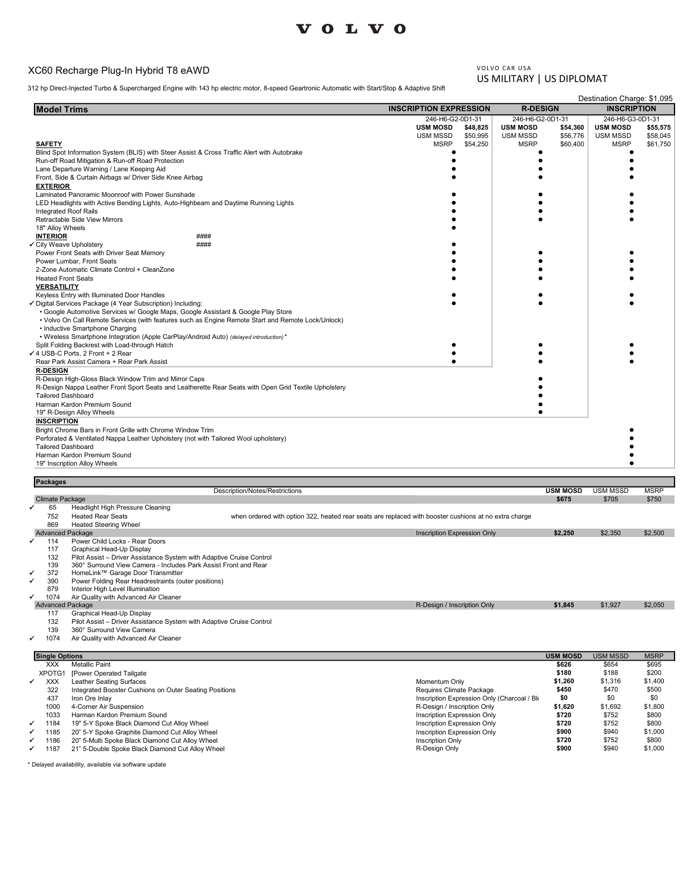## XC60 Recharge Plug-In Hybrid T8 eAWD

| <b>VOLVO</b>                                                                                                                                                                            |                                                     |                                     |                      |                                        |                      |
|-----------------------------------------------------------------------------------------------------------------------------------------------------------------------------------------|-----------------------------------------------------|-------------------------------------|----------------------|----------------------------------------|----------------------|
|                                                                                                                                                                                         |                                                     |                                     |                      |                                        |                      |
|                                                                                                                                                                                         |                                                     |                                     |                      |                                        |                      |
| XC60 Recharge Plug-In Hybrid T8 eAWD                                                                                                                                                    |                                                     | VOLVO CAR USA                       |                      |                                        |                      |
| 812 hp Direct-Injected Turbo & Supercharged Engine with 143 hp electric motor, 8-speed Geartronic Automatic with Start/Stop & Adaptive Shift                                            |                                                     | US MILITARY   US DIPLOMAT           |                      |                                        |                      |
|                                                                                                                                                                                         |                                                     |                                     |                      | Destination Charge: \$1,095            |                      |
| <b>Model Trims</b>                                                                                                                                                                      | <b>INSCRIPTION EXPRESSION</b><br>246-H6-G2-0D1-31   | <b>R-DESIGN</b><br>246-H6-G2-0D1-31 |                      | <b>INSCRIPTION</b><br>246-H6-G3-0D1-31 |                      |
|                                                                                                                                                                                         | <b>USM MOSD</b><br>\$48,825<br>USM MSSD<br>\$50,995 | <b>USM MOSD</b><br><b>USM MSSD</b>  | \$54,360<br>\$56,776 | <b>USM MOSD</b><br>USM MSSD            | \$55,575<br>\$58,045 |
| <b>SAFETY</b>                                                                                                                                                                           | <b>MSRP</b><br>\$54,250                             | <b>MSRP</b>                         | \$60,400             | <b>MSRP</b><br>٠                       | \$61,750             |
| Blind Spot Information System (BLIS) with Steer Assist & Cross Traffic Alert with Autobrake<br>Run-off Road Mitigation & Run-off Road Protection                                        |                                                     |                                     |                      |                                        |                      |
| Lane Departure Warning / Lane Keeping Aid<br>Front, Side & Curtain Airbags w/ Driver Side Knee Airbag                                                                                   |                                                     |                                     |                      |                                        |                      |
| <b>EXTERIOR</b>                                                                                                                                                                         |                                                     |                                     |                      |                                        |                      |
| Laminated Panoramic Moonroof with Power Sunshade<br>LED Headlights with Active Bending Lights, Auto-Highbeam and Daytime Running Lights                                                 |                                                     |                                     |                      |                                        |                      |
| Integrated Roof Rails<br>Retractable Side View Mirrors                                                                                                                                  |                                                     |                                     |                      |                                        |                      |
| 18" Alloy Wheels<br><b>INTERIOR</b><br>####                                                                                                                                             |                                                     |                                     |                      |                                        |                      |
| ####<br>City Weave Upholstery                                                                                                                                                           |                                                     |                                     |                      |                                        |                      |
| Power Front Seats with Driver Seat Memory<br>Power Lumbar, Front Seats                                                                                                                  |                                                     |                                     |                      |                                        |                      |
| 2-Zone Automatic Climate Control + CleanZone<br><b>Heated Front Seats</b>                                                                                                               |                                                     |                                     |                      |                                        |                      |
| <b>VERSATILITY</b>                                                                                                                                                                      |                                                     |                                     |                      |                                        |                      |
| Keyless Entry with Illuminated Door Handles<br>✔ Digital Services Package (4 Year Subscription) Including:                                                                              | $\bullet$                                           |                                     |                      |                                        |                      |
| • Google Automotive Services w/ Google Maps, Google Assistant & Google Play Store<br>• Volvo On Call Remote Services (with features such as Engine Remote Start and Remote Lock/Unlock) |                                                     |                                     |                      |                                        |                      |
| • Inductive Smartphone Charging                                                                                                                                                         |                                                     |                                     |                      |                                        |                      |
| • Wireless Smartphone Integration (Apple CarPlay/Android Auto) (delayed introduction)*<br>Split Folding Backrest with Load-through Hatch                                                |                                                     |                                     |                      |                                        |                      |
| √ 4 USB-C Ports, 2 Front + 2 Rear<br>Rear Park Assist Camera + Rear Park Assist                                                                                                         |                                                     |                                     |                      |                                        |                      |
| <b>R-DESIGN</b>                                                                                                                                                                         |                                                     |                                     |                      |                                        |                      |
| R-Design High-Gloss Black Window Trim and Mirror Caps<br>R-Design Nappa Leather Front Sport Seats and Leatherette Rear Seats with Open Grid Textile Upholstery                          |                                                     |                                     |                      |                                        |                      |
| <b>Tailored Dashboard</b><br>Harman Kardon Premium Sound                                                                                                                                |                                                     |                                     |                      |                                        |                      |
| 19" R-Design Alloy Wheels<br><b>INSCRIPTION</b>                                                                                                                                         |                                                     |                                     |                      |                                        |                      |
| Bright Chrome Bars in Front Grille with Chrome Window Trim                                                                                                                              |                                                     |                                     |                      |                                        |                      |
| Perforated & Ventilated Nappa Leather Upholstery (not with Tailored Wool upholstery)<br><b>Tailored Dashboard</b>                                                                       |                                                     |                                     |                      | $\bullet$                              |                      |
| Harman Kardon Premium Sound<br>19" Inscription Alloy Wheels                                                                                                                             |                                                     |                                     |                      |                                        |                      |
|                                                                                                                                                                                         |                                                     |                                     |                      |                                        |                      |
| <b>Packages</b><br>Description/Notes/Restrictions                                                                                                                                       |                                                     | <b>USM MOSD</b>                     |                      | <b>USM MSSD</b>                        | <b>MSRP</b>          |
| <b>Climate Package</b><br>Headlight High Pressure Cleaning<br>65                                                                                                                        |                                                     | \$675                               |                      | \$705                                  | \$750                |
| 752<br><b>Heated Rear Seats</b><br>when ordered with option 322, heated rear seats are replaced with booster cushions at no extra charge<br>869<br><b>Heated Steering Wheel</b>         |                                                     |                                     |                      |                                        |                      |
| <b>Advanced Package</b>                                                                                                                                                                 | Inscription Expression Only                         | \$2,250                             |                      | \$2,350                                | \$2,500              |
| Power Child Locks - Rear Doors<br>114<br>Graphical Head-Up Display<br>117                                                                                                               |                                                     |                                     |                      |                                        |                      |
| 132<br>Pilot Assist - Driver Assistance System with Adaptive Cruise Control<br>360° Surround View Camera - Includes Park Assist Front and Rear<br>139                                   |                                                     |                                     |                      |                                        |                      |
|                                                                                                                                                                                         |                                                     |                                     |                      |                                        |                      |
| HomeLink™ Garage Door Transmitter<br>372<br>Power Folding Rear Headrestraints (outer positions)<br>390<br>✔                                                                             |                                                     |                                     |                      |                                        |                      |

→ 1074 Air Quality with Advanced Air Cleaner<br>| Advanced Package \$1,927 \$2,050<br>|

117 Graphical Head-Up Display 132 Pilot Assist – Driver Assistance System with Adaptive Cruise Control 139 360° Surround View Camera

1074 Air Quality with Advanced Air Cleaner

|   | <b>Single Options</b> |                                                        |                                            | <b>USM MOSD</b> | <b>USM MSSD</b> | <b>MSRP</b> |
|---|-----------------------|--------------------------------------------------------|--------------------------------------------|-----------------|-----------------|-------------|
|   | <b>XXX</b>            | <b>Metallic Paint</b>                                  |                                            | \$626           | \$654           | \$695       |
|   | XPOTG1                | [Power Operated Tailgate                               |                                            | \$180           | \$188           | \$200       |
| ✓ | <b>XXX</b>            | Leather Seating Surfaces                               | Momentum Only                              | \$1,260         | \$1,316         | \$1,400     |
|   | 322                   | Integrated Booster Cushions on Outer Seating Positions | Requires Climate Package                   | \$450           | \$470           | \$500       |
|   | 437                   | Iron Ore Inlav                                         | Inscription Expression Only (Charcoal / Bk | \$0             | \$0             | \$0         |
|   | 1000                  | 4-Corner Air Suspension                                | R-Design / Inscription Only                | \$1,620         | \$1,692         | \$1,800     |
|   | 1033                  | Harman Kardon Premium Sound                            | <b>Inscription Expression Only</b>         | \$720           | \$752           | \$800       |
| ✓ | 1184                  | 19" 5-Y Spoke Black Diamond Cut Alloy Wheel            | Inscription Expression Only                | \$720           | \$752           | \$800       |
| ✓ | 1185                  | 20" 5-Y Spoke Graphite Diamond Cut Alloy Wheel         | Inscription Expression Only                | \$900           | \$940           | \$1,000     |
| ✓ | 1186                  | 20" 5-Multi Spoke Black Diamond Cut Alloy Wheel        | <b>Inscription Only</b>                    | \$720           | \$752           | \$800       |
| ✓ | 1187                  | 21" 5-Double Spoke Black Diamond Cut Alloy Wheel       | R-Design Only                              | \$900           | \$940           | \$1,000     |